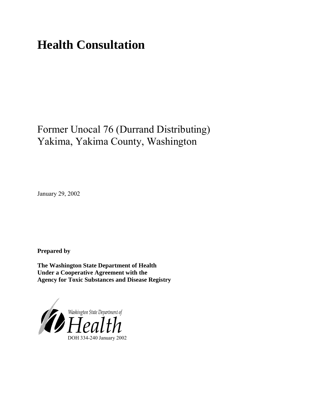# **Health Consultation**

## Former Unocal 76 (Durrand Distributing) Yakima, Yakima County, Washington

January 29, 2002

**Prepared by**

**The Washington State Department of Health Under a Cooperative Agreement with the Agency for Toxic Substances and Disease Registry**

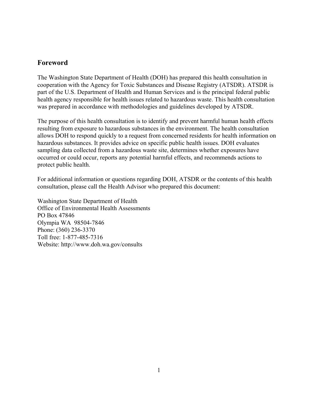#### **Foreword**

The Washington State Department of Health (DOH) has prepared this health consultation in cooperation with the Agency for Toxic Substances and Disease Registry (ATSDR). ATSDR is part of the U.S. Department of Health and Human Services and is the principal federal public health agency responsible for health issues related to hazardous waste. This health consultation was prepared in accordance with methodologies and guidelines developed by ATSDR.

The purpose of this health consultation is to identify and prevent harmful human health effects resulting from exposure to hazardous substances in the environment. The health consultation allows DOH to respond quickly to a request from concerned residents for health information on hazardous substances. It provides advice on specific public health issues. DOH evaluates sampling data collected from a hazardous waste site, determines whether exposures have occurred or could occur, reports any potential harmful effects, and recommends actions to protect public health.

For additional information or questions regarding DOH, ATSDR or the contents of this health consultation, please call the Health Advisor who prepared this document:

Washington State Department of Health Office of Environmental Health Assessments PO Box 47846 Olympia WA 98504-7846 Phone: (360) 236-3370 Toll free: 1-877-485-7316 Website: [http://www.doh.wa.gov/](http://www.doh.wa.gov/consults)consults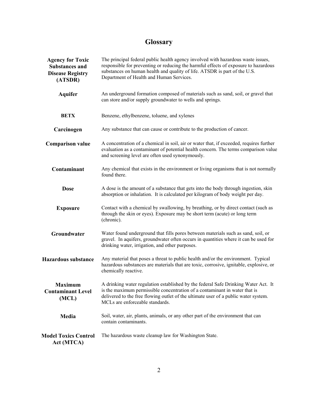### **Glossary**

| <b>Agency for Toxic</b><br><b>Substances and</b><br><b>Disease Registry</b><br>(ATSDR)                                                                                                                                                                                                                                                            | The principal federal public health agency involved with hazardous waste issues,<br>responsible for preventing or reducing the harmful effects of exposure to hazardous<br>substances on human health and quality of life. ATSDR is part of the U.S.<br>Department of Health and Human Services. |  |  |  |
|---------------------------------------------------------------------------------------------------------------------------------------------------------------------------------------------------------------------------------------------------------------------------------------------------------------------------------------------------|--------------------------------------------------------------------------------------------------------------------------------------------------------------------------------------------------------------------------------------------------------------------------------------------------|--|--|--|
| <b>Aquifer</b>                                                                                                                                                                                                                                                                                                                                    | An underground formation composed of materials such as sand, soil, or gravel that<br>can store and/or supply groundwater to wells and springs.                                                                                                                                                   |  |  |  |
| <b>BETX</b>                                                                                                                                                                                                                                                                                                                                       | Benzene, ethylbenzene, toluene, and xylenes                                                                                                                                                                                                                                                      |  |  |  |
| Carcinogen                                                                                                                                                                                                                                                                                                                                        | Any substance that can cause or contribute to the production of cancer.                                                                                                                                                                                                                          |  |  |  |
| <b>Comparison value</b>                                                                                                                                                                                                                                                                                                                           | A concentration of a chemical in soil, air or water that, if exceeded, requires further<br>evaluation as a contaminant of potential health concern. The terms comparison value<br>and screening level are often used synonymously.                                                               |  |  |  |
| Contaminant                                                                                                                                                                                                                                                                                                                                       | Any chemical that exists in the environment or living organisms that is not normally<br>found there.                                                                                                                                                                                             |  |  |  |
| <b>Dose</b>                                                                                                                                                                                                                                                                                                                                       | A dose is the amount of a substance that gets into the body through ingestion, skin<br>absorption or inhalation. It is calculated per kilogram of body weight per day.                                                                                                                           |  |  |  |
| <b>Exposure</b>                                                                                                                                                                                                                                                                                                                                   | Contact with a chemical by swallowing, by breathing, or by direct contact (such as<br>through the skin or eyes). Exposure may be short term (acute) or long term<br>(chronic).                                                                                                                   |  |  |  |
| Groundwater                                                                                                                                                                                                                                                                                                                                       | Water found underground that fills pores between materials such as sand, soil, or<br>gravel. In aquifers, groundwater often occurs in quantities where it can be used for<br>drinking water, irrigation, and other purposes.                                                                     |  |  |  |
| <b>Hazardous substance</b>                                                                                                                                                                                                                                                                                                                        | Any material that poses a threat to public health and/or the environment. Typical<br>hazardous substances are materials that are toxic, corrosive, ignitable, explosive, or<br>chemically reactive.                                                                                              |  |  |  |
| A drinking water regulation established by the federal Safe Drinking Water Act. It<br><b>Maximum</b><br>is the maximum permissible concentration of a contaminant in water that is<br><b>Contaminant Level</b><br>delivered to the free flowing outlet of the ultimate user of a public water system.<br>(MCL)<br>MCLs are enforceable standards. |                                                                                                                                                                                                                                                                                                  |  |  |  |
| Media                                                                                                                                                                                                                                                                                                                                             | Soil, water, air, plants, animals, or any other part of the environment that can<br>contain contaminants.                                                                                                                                                                                        |  |  |  |
| <b>Model Toxics Control</b><br>Act (MTCA)                                                                                                                                                                                                                                                                                                         | The hazardous waste cleanup law for Washington State.                                                                                                                                                                                                                                            |  |  |  |
|                                                                                                                                                                                                                                                                                                                                                   |                                                                                                                                                                                                                                                                                                  |  |  |  |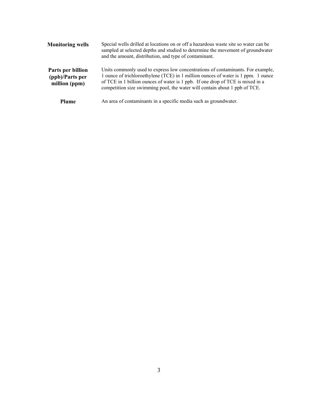| <b>Monitoring wells</b>                               | Special wells drilled at locations on or off a hazardous waste site so water can be<br>sampled at selected depths and studied to determine the movement of groundwater<br>and the amount, distribution, and type of contaminant.                                                                                                     |  |  |
|-------------------------------------------------------|--------------------------------------------------------------------------------------------------------------------------------------------------------------------------------------------------------------------------------------------------------------------------------------------------------------------------------------|--|--|
| Parts per billion<br>(ppb)/Parts per<br>million (ppm) | Units commonly used to express low concentrations of contaminants. For example,<br>1 ounce of trichloroethylene (TCE) in 1 million ounces of water is 1 ppm. 1 ounce<br>of TCE in 1 billion ounces of water is 1 ppb. If one drop of TCE is mixed in a<br>competition size swimming pool, the water will contain about 1 ppb of TCE. |  |  |
| <b>Plume</b>                                          | An area of contaminants in a specific media such as groundwater.                                                                                                                                                                                                                                                                     |  |  |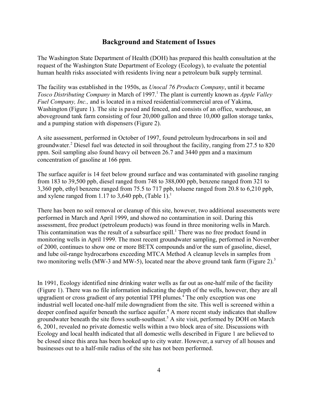#### **Background and Statement of Issues**

The Washington State Department of Health (DOH) has prepared this health consultation at the request of the Washington State Department of Ecology (Ecology), to evaluate the potential human health risks associated with residents living near a petroleum bulk supply terminal.

The facility was established in the 1950s, as *Unocal 76 Products Company*, until it became *Tosco Distributing Company* in March of 1997.<sup>1</sup> The plant is currently known as *Apple Valley Fuel Company, Inc.,* and is located in a mixed residential/commercial area of Yakima, Washington (Figure 1). The site is paved and fenced, and consists of an office, warehouse, an aboveground tank farm consisting of four 20,000 gallon and three 10,000 gallon storage tanks, and a pumping station with dispensers (Figure 2).

A site assessment, performed in October of 1997, found petroleum hydrocarbons in soil and groundwater.<sup>2</sup> Diesel fuel was detected in soil throughout the facility, ranging from 27.5 to 820 ppm. Soil sampling also found heavy oil between 26.7 and 3440 ppm and a maximum concentration of gasoline at 166 ppm.

The surface aquifer is 14 feet below ground surface and was contaminated with gasoline ranging from 183 to 39,500 ppb, diesel ranged from 748 to 388,000 ppb, benzene ranged from 321 to 3,360 ppb, ethyl benzene ranged from 75.5 to 717 ppb, toluene ranged from 20.8 to 6,210 ppb, and xylene ranged from 1.17 to 3,640 ppb,  $(Table 1)$ <sup>1</sup>

There has been no soil removal or cleanup of this site, however, two additional assessments were performed in March and April 1999, and showed no contamination in soil. During this assessment, free product (petroleum products) was found in three monitoring wells in March. This contamination was the result of a subsurface spill.<sup>1</sup> There was no free product found in monitoring wells in April 1999. The most recent groundwater sampling, performed in November of 2000, continues to show one or more BETX compounds and/or the sum of gasoline, diesel, and lube oil-range hydrocarbons exceeding MTCA Method A cleanup levels in samples from two monitoring wells (MW-3 and MW-5), located near the above ground tank farm (Figure 2).<sup>3</sup>

In 1991, Ecology identified nine drinking water wells as far out as one-half mile of the facility (Figure 1). There was no file information indicating the depth of the wells, however, they are all upgradient or cross gradient of any potential TPH plumes.<sup>4</sup> The only exception was one industrial well located one-half mile downgradient from the site. This well is screened within a deeper confined aquifer beneath the surface aquifer.<sup>4</sup> A more recent study indicates that shallow groundwater beneath the site flows south-southeast.<sup>5</sup> A site visit, performed by DOH on March 6, 2001, revealed no private domestic wells within a two block area of site. Discussions with Ecology and local health indicated that all domestic wells described in Figure 1 are believed to be closed since this area has been hooked up to city water. However, a survey of all houses and businesses out to a half-mile radius of the site has not been performed.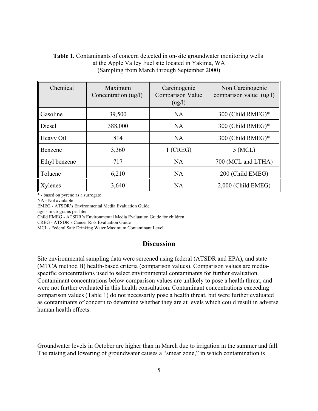#### **Table 1.** Contaminants of concern detected in on-site groundwater monitoring wells at the Apple Valley Fuel site located in Yakima, WA (Sampling from March through September 2000)

| Chemical      | Maximum<br>Concentration (ug/l) | Carcinogenic<br>Comparison Value<br>(ug/l) | Non Carcinogenic<br>comparison value (ug l) |
|---------------|---------------------------------|--------------------------------------------|---------------------------------------------|
| Gasoline      | 39,500                          | <b>NA</b>                                  | 300 (Child RMEG)*                           |
| Diesel        | 388,000                         | <b>NA</b>                                  | 300 (Child RMEG)*                           |
| Heavy Oil     | 814                             | <b>NA</b>                                  | 300 (Child RMEG)*                           |
| Benzene       | 3,360                           | $1$ (CREG)                                 | $5$ (MCL)                                   |
| Ethyl benzene | 717                             | <b>NA</b>                                  | 700 (MCL and LTHA)                          |
| Toluene       | 6,210                           | <b>NA</b>                                  | 200 (Child EMEG)                            |
| Xylenes       | 3,640                           | <b>NA</b>                                  | 2,000 (Child EMEG)                          |

\* - based on pyrene as a surrogate

NA - Not available

EMEG - ATSDR's Environmental Media Evaluation Guide

ug/l - micrograms per liter

Child EMEG - ATSDR's Environmental Media Evaluation Guide for children

CREG - ATSDR's Cancer Risk Evaluation Guide

MCL - Federal Safe Drinking Water Maximum Contaminant Level

#### **Discussion**

Site environmental sampling data were screened using federal (ATSDR and EPA), and state (MTCA method B) health-based criteria (comparison values). Comparison values are mediaspecific concentrations used to select environmental contaminants for further evaluation. Contaminant concentrations below comparison values are unlikely to pose a health threat, and were not further evaluated in this health consultation. Contaminant concentrations exceeding comparison values (Table 1) do not necessarily pose a health threat, but were further evaluated as contaminants of concern to determine whether they are at levels which could result in adverse human health effects.

Groundwater levels in October are higher than in March due to irrigation in the summer and fall. The raising and lowering of groundwater causes a "smear zone," in which contamination is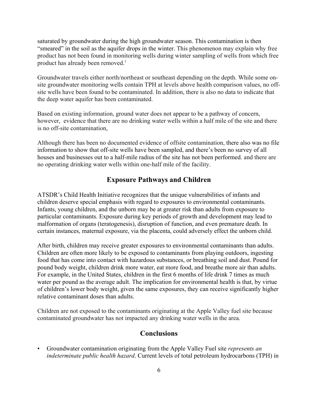saturated by groundwater during the high groundwater season. This contamination is then "smeared" in the soil as the aquifer drops in the winter. This phenomenon may explain why free product has not been found in monitoring wells during winter sampling of wells from which free product has already been removed.<sup>1</sup>

Groundwater travels either north/northeast or southeast depending on the depth. While some onsite groundwater monitoring wells contain TPH at levels above health comparison values, no offsite wells have been found to be contaminated. In addition, there is also no data to indicate that the deep water aquifer has been contaminated.

Based on existing information, ground water does not appear to be a pathway of concern, however, evidence that there are no drinking water wells within a half mile of the site and there is no off-site contamination,

Although there has been no documented evidence of offsite contamination, there also was no file information to show that off-site wells have been sampled, and there's been no survey of all houses and businesses out to a half-mile radius of the site has not been performed. and there are no operating drinking water wells within one-half mile of the facility.

#### **Exposure Pathways and Children**

ATSDR's Child Health Initiative recognizes that the unique vulnerabilities of infants and children deserve special emphasis with regard to exposures to environmental contaminants. Infants, young children, and the unborn may be at greater risk than adults from exposure to particular contaminants. Exposure during key periods of growth and development may lead to malformation of organs (teratogenesis), disruption of function, and even premature death. In certain instances, maternal exposure, via the placenta, could adversely effect the unborn child.

After birth, children may receive greater exposures to environmental contaminants than adults. Children are often more likely to be exposed to contaminants from playing outdoors, ingesting food that has come into contact with hazardous substances, or breathing soil and dust. Pound for pound body weight, children drink more water, eat more food, and breathe more air than adults. For example, in the United States, children in the first 6 months of life drink 7 times as much water per pound as the average adult. The implication for environmental health is that, by virtue of children's lower body weight, given the same exposures, they can receive significantly higher relative contaminant doses than adults.

Children are not exposed to the contaminants originating at the Apple Valley fuel site because contaminated groundwater has not impacted any drinking water wells in the area.

#### **Conclusions**

• Groundwater contamination originating from the Apple Valley Fuel site *represents an indeterminate public health hazard*. Current levels of total petroleum hydrocarbons (TPH) in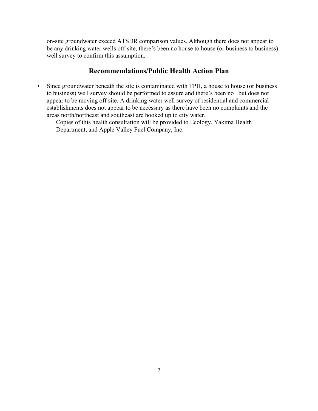on-site groundwater exceed ATSDR comparison values. Although there does not appear to be any drinking water wells off-site, there's been no house to house (or business to business) well survey to confirm this assumption.

#### **Recommendations/Public Health Action Plan**

• Since groundwater beneath the site is contaminated with TPH, a house to house (or business to business) well survey should be performed to assure and there's been no but does not appear to be moving off site. A drinking water well survey of residential and commercial establishments does not appear to be necessary as there have been no complaints and the areas north/northeast and southeast are hooked up to city water.

Copies of this health consultation will be provided to Ecology, Yakima Health Department, and Apple Valley Fuel Company, Inc.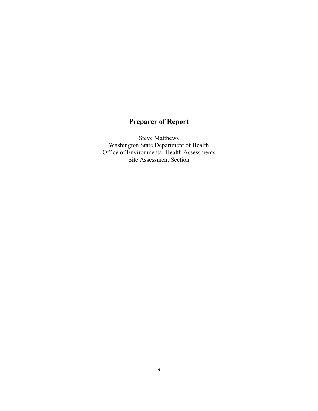### **Preparer of Report**

Steve Matthews Washington State Department of Health Office of Environmental Health Assessments Site Assessment Section